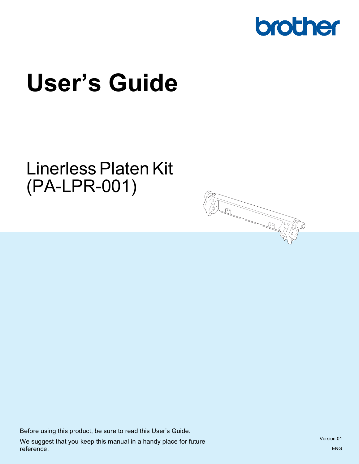

# **User's Guide**

# Linerless Platen Kit (PA-LPR-001)



Before using this product, be sure to read this User's Guide. We suggest that you keep this manual in a handy place for future reference.

Version 01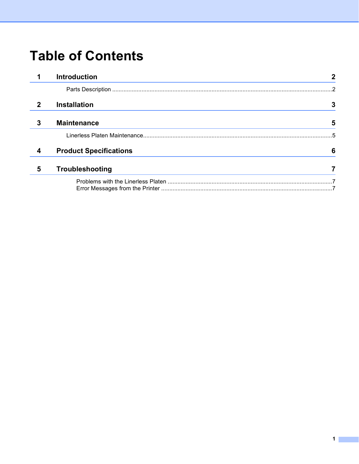# **Table of Contents**

|             | <b>Introduction</b>           | 2             |
|-------------|-------------------------------|---------------|
|             |                               | $\mathcal{P}$ |
| $\mathbf 2$ | <b>Installation</b>           | 3             |
| 3           | <b>Maintenance</b>            | 5             |
|             |                               | 5             |
| 4           | <b>Product Specifications</b> | 6             |
| 5           | Troubleshooting               |               |
|             |                               |               |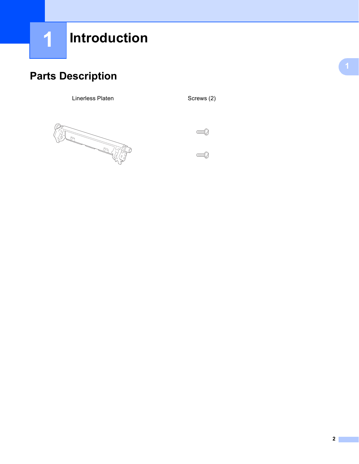### <span id="page-2-1"></span><span id="page-2-0"></span>**Parts Description <sup>1</sup>**

Linerless Platen Screws (2)



 $\mathbb{C}$ 

 $\mathbb{C}$  and  $\mathbb{C}$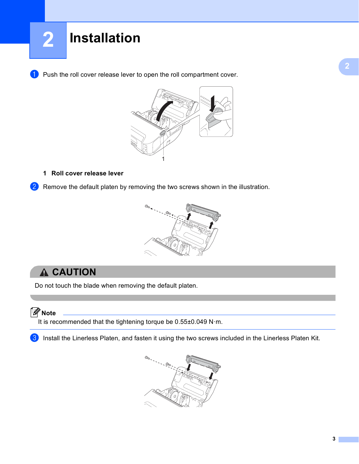<span id="page-3-0"></span>**1** Push the roll cover release lever to open the roll compartment cover.



#### **1 Roll cover release lever**

2) Remove the default platen by removing the two screws shown in the illustration.



### **A CAUTION**

Do not touch the blade when removing the default platen.

#### **Note**

It is recommended that the tightening torque be 0.55±0.049 N·m.

Install the Linerless Platen, and fasten it using the two screws included in the Linerless Platen Kit.

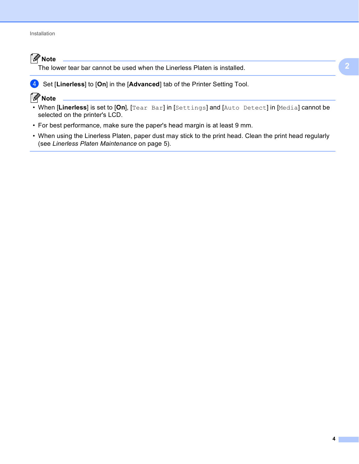### **Note**

The lower tear bar cannot be used when the Linerless Platen is installed.



#### **4** Set [Linerless] to [On] in the [Advanced] tab of the Printer Setting Tool.

#### **Note**

- When [**Linerless**] is set to [**On**], [Tear Bar] in [Settings] and [Auto Detect] in [Media] cannot be selected on the printer's LCD.
- For best performance, make sure the paper's head margin is at least 9 mm.
- When using the Linerless Platen, paper dust may stick to the print head. Clean the print head regularly (see *[Linerless Platen Maintenance](#page-5-2)* on page 5).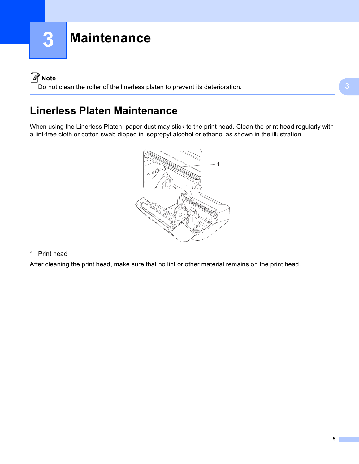### <span id="page-5-0"></span>**Note**

Do not clean the roller of the linerless platen to prevent its deterioration.

### <span id="page-5-2"></span><span id="page-5-1"></span>**Linerless Platen Maintenance <sup>3</sup>**

When using the Linerless Platen, paper dust may stick to the print head. Clean the print head regularly with a lint-free cloth or cotton swab dipped in isopropyl alcohol or ethanol as shown in the illustration.



#### 1 Print head

After cleaning the print head, make sure that no lint or other material remains on the print head.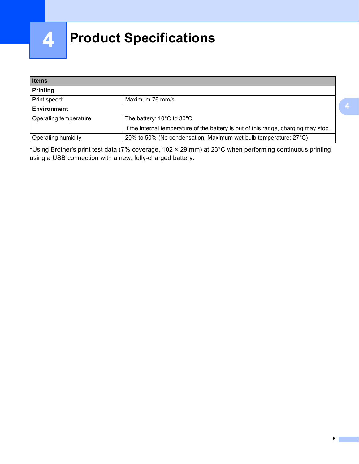

# <span id="page-6-0"></span>**Product Specifications <sup>4</sup>**

| <b>Items</b><br><b>Printing</b> |                                                                                     |  |  |  |
|---------------------------------|-------------------------------------------------------------------------------------|--|--|--|
|                                 |                                                                                     |  |  |  |
| <b>Environment</b>              |                                                                                     |  |  |  |
| Operating temperature           | The battery: $10^{\circ}$ C to $30^{\circ}$ C                                       |  |  |  |
|                                 | If the internal temperature of the battery is out of this range, charging may stop. |  |  |  |
| <b>Operating humidity</b>       | 20% to 50% (No condensation, Maximum wet bulb temperature: 27°C)                    |  |  |  |

\*Using Brother's print test data (7% coverage, 102 × 29 mm) at 23°C when performing continuous printing using a USB connection with a new, fully-charged battery.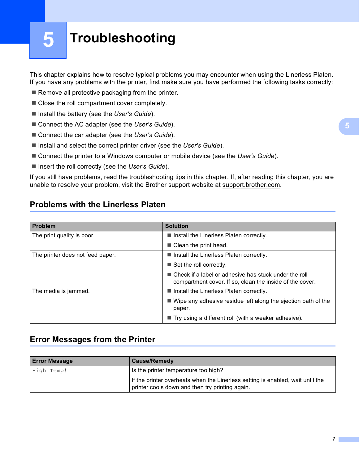# <span id="page-7-0"></span>**Troubleshooting <sup>5</sup>**

This chapter explains how to resolve typical problems you may encounter when using the Linerless Platen. If you have any problems with the printer, first make sure you have performed the following tasks correctly:

- $\blacksquare$  Remove all protective packaging from the printer.
- Close the roll compartment cover completely.
- Install the battery (see the *User's Guide*).
- Connect the AC adapter (see the *User's Guide*).
- Connect the car adapter (see the *User's Guide*).
- Install and select the correct printer driver (see the *User's Guide*).
- Connect the printer to a Windows computer or mobile device (see the *User's Guide*).
- Insert the roll correctly (see the *User's Guide*).

If you still have problems, read the troubleshooting tips in this chapter. If, after reading this chapter, you are unable to resolve your problem, visit the Brother support website at [support.brother.com.](https://support.brother.com)

#### <span id="page-7-1"></span>**Problems with the Linerless Platen <sup>5</sup>**

| <b>Problem</b>                   | <b>Solution</b>                                                                                                     |
|----------------------------------|---------------------------------------------------------------------------------------------------------------------|
| The print quality is poor.       | Install the Linerless Platen correctly.                                                                             |
|                                  | $\blacksquare$ Clean the print head.                                                                                |
| The printer does not feed paper. | Install the Linerless Platen correctly.                                                                             |
|                                  | $\blacksquare$ Set the roll correctly.                                                                              |
|                                  | ■ Check if a label or adhesive has stuck under the roll<br>compartment cover. If so, clean the inside of the cover. |
| The media is jammed.             | Install the Linerless Platen correctly.                                                                             |
|                                  | $\blacksquare$ Wipe any adhesive residue left along the ejection path of the<br>paper.                              |
|                                  | $\blacksquare$ Try using a different roll (with a weaker adhesive).                                                 |

#### <span id="page-7-2"></span>**Error Messages from the Printer <sup>5</sup>**

| <b>Error Message</b> | <b>Cause/Remedy</b>                                                                                                               |
|----------------------|-----------------------------------------------------------------------------------------------------------------------------------|
| High Temp!           | Is the printer temperature too high?                                                                                              |
|                      | If the printer overheats when the Linerless setting is enabled, wait until the<br>printer cools down and then try printing again. |